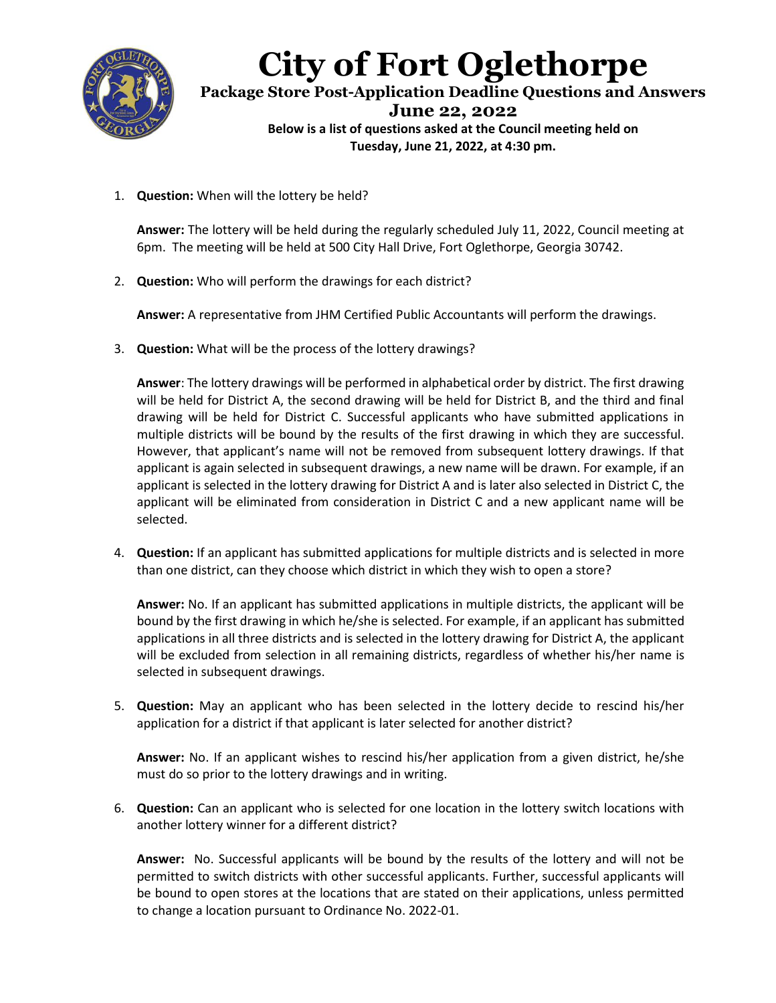

## **City of Fort Oglethorpe**

**Package Store Post-Application Deadline Questions and Answers June 22, 2022 Below is a list of questions asked at the Council meeting held on Tuesday, June 21, 2022, at 4:30 pm.**

1. **Question:** When will the lottery be held?

**Answer:** The lottery will be held during the regularly scheduled July 11, 2022, Council meeting at 6pm. The meeting will be held at 500 City Hall Drive, Fort Oglethorpe, Georgia 30742.

2. **Question:** Who will perform the drawings for each district?

**Answer:** A representative from JHM Certified Public Accountants will perform the drawings.

3. **Question:** What will be the process of the lottery drawings?

**Answer**: The lottery drawings will be performed in alphabetical order by district. The first drawing will be held for District A, the second drawing will be held for District B, and the third and final drawing will be held for District C. Successful applicants who have submitted applications in multiple districts will be bound by the results of the first drawing in which they are successful. However, that applicant's name will not be removed from subsequent lottery drawings. If that applicant is again selected in subsequent drawings, a new name will be drawn. For example, if an applicant is selected in the lottery drawing for District A and is later also selected in District C, the applicant will be eliminated from consideration in District C and a new applicant name will be selected.

4. **Question:** If an applicant has submitted applications for multiple districts and is selected in more than one district, can they choose which district in which they wish to open a store?

**Answer:** No. If an applicant has submitted applications in multiple districts, the applicant will be bound by the first drawing in which he/she is selected. For example, if an applicant has submitted applications in all three districts and is selected in the lottery drawing for District A, the applicant will be excluded from selection in all remaining districts, regardless of whether his/her name is selected in subsequent drawings.

5. **Question:** May an applicant who has been selected in the lottery decide to rescind his/her application for a district if that applicant is later selected for another district?

**Answer:** No. If an applicant wishes to rescind his/her application from a given district, he/she must do so prior to the lottery drawings and in writing.

6. **Question:** Can an applicant who is selected for one location in the lottery switch locations with another lottery winner for a different district?

**Answer:** No. Successful applicants will be bound by the results of the lottery and will not be permitted to switch districts with other successful applicants. Further, successful applicants will be bound to open stores at the locations that are stated on their applications, unless permitted to change a location pursuant to Ordinance No. 2022-01.